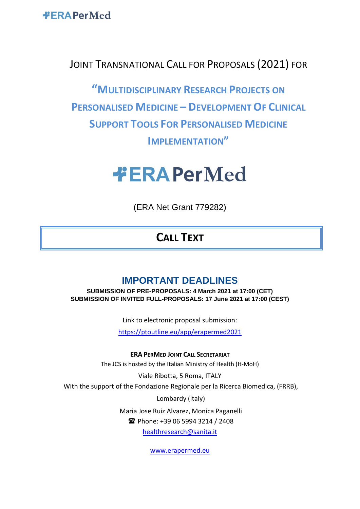**#ERAPerMed** 

## JOINT TRANSNATIONAL CALL FOR PROPOSALS (2021) FOR

**"MULTIDISCIPLINARY RESEARCH PROJECTS ON PERSONALISED MEDICINE – DEVELOPMENT OF CLINICAL SUPPORT TOOLS FOR PERSONALISED MEDICINE IMPLEMENTATION"**

# **#ERAPerMed**

(ERA Net Grant 779282)

# **CALL TEXT**

## **IMPORTANT DEADLINES**

**SUBMISSION OF PRE-PROPOSALS: 4 March 2021 at 17:00 (CET) SUBMISSION OF INVITED FULL-PROPOSALS: 17 June 2021 at 17:00 (CEST)**

Link to electronic proposal submission:

<https://ptoutline.eu/app/erapermed2021>

**ERA PERMED JOINT CALL SECRETARIAT** The JCS is hosted by the Italian Ministry of Health (It-MoH)

Viale Ribotta, 5 Roma, ITALY With the support of the Fondazione Regionale per la Ricerca Biomedica, (FRRB),

Lombardy (Italy)

Maria Jose Ruiz Alvarez, Monica Paganelli

**T**hone: +39 06 5994 3214 / 2408

[healthresearch@sanita.it](mailto:healthresearch@sanita.it)

[www.erapermed.eu](http://www.erapermed.eu/)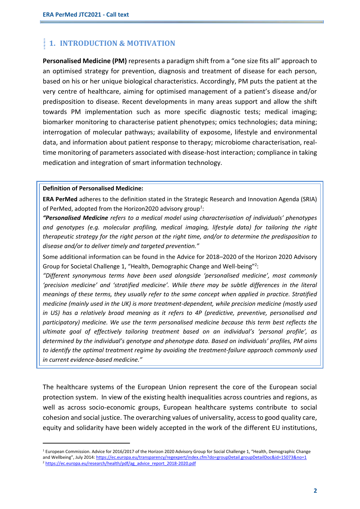## **1. INTRODUCTION & MOTIVATION**

**Personalised Medicine (PM)** represents a paradigm shift from a "one size fits all" approach to an optimised strategy for prevention, diagnosis and treatment of disease for each person, based on his or her unique biological characteristics. Accordingly, PM puts the patient at the very centre of healthcare, aiming for optimised management of a patient's disease and/or predisposition to disease. Recent developments in many areas support and allow the shift towards PM implementation such as more specific diagnostic tests; medical imaging; biomarker monitoring to characterise patient phenotypes; omics technologies; data mining; interrogation of molecular pathways; availability of exposome, lifestyle and environmental data, and information about patient response to therapy; microbiome characterisation, realtime monitoring of parameters associated with disease-host interaction; compliance in taking medication and integration of smart information technology.

#### **Definition of Personalised Medicine:**

**ERA PerMed** adheres to the definition stated in the Strategic Research and Innovation Agenda (SRIA) of PerMed, adopted from the Horizon2020 advisory group*<sup>1</sup>* :

*"Personalised Medicine refers to a medical model using characterisation of individuals' phenotypes and genotypes (e.g. molecular profiling, medical imaging, lifestyle data) for tailoring the right therapeutic strategy for the right person at the right time, and/or to determine the predisposition to disease and/or to deliver timely and targeted prevention."*

Some additional information can be found in the Advice for 2018–2020 of the Horizon 2020 Advisory Group for Societal Challenge 1, "Health, Demographic Change and Well-being"<sup>2</sup>:

"Different synonymous terms have been used alongside 'personalised medicine', most commonly *'precision medicine' and 'stratified medicine'. While there may be subtle differences in the literal meanings of these terms, they usually refer to the same concept when applied in practice. Stratified medicine (mainly used in the UK) is more treatment-dependent, while precision medicine (mostly used in US) has a relatively broad meaning as it refers to 4P (predictive, preventive, personalised and participatory) medicine. We use the term personalised medicine because this term best reflects the ultimate goal of effectively tailoring treatment based on an individual's 'personal profile', as determined by the individual's genotype and phenotype data. Based on individuals' profiles, PM aims to identify the optimal treatment regime by avoiding the treatment-failure approach commonly used in current evidence-based medicine."*

The healthcare systems of the European Union represent the core of the European social protection system. In view of the existing health inequalities across countries and regions, as well as across socio-economic groups, European healthcare systems contribute to social cohesion and social justice. The overarching values of universality, access to good quality care, equity and solidarity have been widely accepted in the work of the different EU institutions,

<sup>&</sup>lt;sup>1</sup> European Commission. Advice for 2016/2017 of the Horizon 2020 Advisory Group for Social Challenge 1, "Health, Demographic Change and Wellbeing", July 2014: <https://ec.europa.eu/transparency/regexpert/index.cfm?do=groupDetail.groupDetailDoc&id=15073&no=1> <sup>2</sup> [https://ec.europa.eu/research/health/pdf/ag\\_advice\\_report\\_2018-2020.pdf](https://ec.europa.eu/research/health/pdf/ag_advice_report_2018-2020.pdf)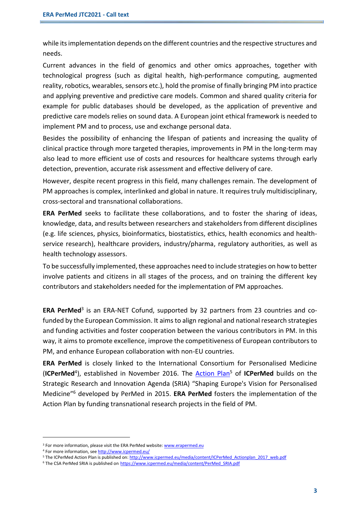while its implementation depends on the different countries and the respective structures and needs.

Current advances in the field of genomics and other omics approaches, together with technological progress (such as digital health, high-performance computing, augmented reality, robotics, wearables, sensors etc.), hold the promise of finally bringing PM into practice and applying preventive and predictive care models. Common and shared quality criteria for example for public databases should be developed, as the application of preventive and predictive care models relies on sound data. A European joint ethical framework is needed to implement PM and to process, use and exchange personal data.

Besides the possibility of enhancing the lifespan of patients and increasing the quality of clinical practice through more targeted therapies, improvements in PM in the long-term may also lead to more efficient use of costs and resources for healthcare systems through early detection, prevention, accurate risk assessment and effective delivery of care.

However, despite recent progress in this field, many challenges remain. The development of PM approaches is complex, interlinked and global in nature. It requires truly multidisciplinary, cross-sectoral and transnational collaborations.

**ERA PerMed** seeks to facilitate these collaborations, and to foster the sharing of ideas, knowledge, data, and results between researchers and stakeholders from different disciplines (e.g. life sciences, physics, bioinformatics, biostatistics, ethics, health economics and healthservice research), healthcare providers, industry/pharma, regulatory authorities, as well as health technology assessors.

To be successfully implemented, these approaches need to include strategies on how to better involve patients and citizens in all stages of the process, and on training the different key contributors and stakeholders needed for the implementation of PM approaches.

ERA PerMed<sup>3</sup> is an ERA-NET Cofund, supported by 32 partners from 23 countries and cofunded by the European Commission. It aims to align regional and national research strategies and funding activities and foster cooperation between the various contributors in PM. In this way, it aims to promote excellence, improve the competitiveness of European contributors to PM, and enhance European collaboration with non-EU countries.

**ERA PerMed** is closely linked to the International Consortium for Personalised Medicine (ICPerMed<sup>4</sup>), established in November 2016. The **Action Plan<sup>5</sup> of ICPerMed** builds on the Strategic Research and Innovation Agenda (SRIA) "Shaping Europe's Vision for Personalised Medicine" <sup>6</sup> developed by PerMed in 2015. **ERA PerMed** fosters the implementation of the Action Plan by funding transnational research projects in the field of PM.

<sup>&</sup>lt;sup>3</sup> For more information, please visit the ERA PerMed website[: www.erapermed.eu](http://www.erapermed.eu/)

<sup>4</sup> For more information, se[e http://www.icpermed.eu/](http://www.icpermed.eu/)

<sup>5</sup> The ICPerMed Action Plan is published on[: http://www.icpermed.eu/media/content/ICPerMed\\_Actionplan\\_2017\\_web.pdf](http://www.icpermed.eu/media/content/ICPerMed_Actionplan_2017_web.pdf)

<sup>6</sup> The CSA PerMed SRIA is published on https://www.icpermed.eu/media/content/PerMed\_SRIA.pdf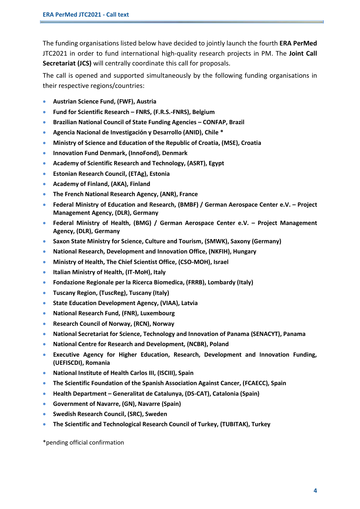The funding organisations listed below have decided to jointly launch the fourth **ERA PerMed** JTC2021 in order to fund international high-quality research projects in PM. The **Joint Call Secretariat (JCS)** will centrally coordinate this call for proposals.

The call is opened and supported simultaneously by the following funding organisations in their respective regions/countries:

- **Austrian Science Fund, (FWF), Austria**
- **Fund for Scientific Research – FNRS, (F.R.S.-FNRS), Belgium**
- **Brazilian National Council of State Funding Agencies – CONFAP, Brazil**
- **Agencia Nacional de Investigación y Desarrollo (ANID), Chile \***
- **Ministry of Science and Education of the Republic of Croatia, (MSE), Croatia**
- **Innovation Fund Denmark, (InnoFond), Denmark**
- **Academy of Scientific Research and Technology, (ASRT), Egypt**
- **Estonian Research Council, (ETAg), Estonia**
- **Academy of Finland, (AKA), Finland**
- **The French National Research Agency, (ANR), France**
- **Federal Ministry of Education and Research, (BMBF) / German Aerospace Center e.V. – Project Management Agency, (DLR), Germany**
- **Federal Ministry of Health, (BMG) / German Aerospace Center e.V. – Project Management Agency, (DLR), Germany**
- **Saxon State Ministry for Science, Culture and Tourism, (SMWK), Saxony (Germany)**
- **National Research, Development and Innovation Office, (NKFIH), Hungary**
- **Ministry of Health, The Chief Scientist Office, (CSO-MOH), Israel**
- **Italian Ministry of Health, (IT-MoH), Italy**
- **Fondazione Regionale per la Ricerca Biomedica, (FRRB), Lombardy (Italy)**
- **Tuscany Region, (TuscReg), Tuscany (Italy)**
- **State Education Development Agency, (VIAA), Latvia**
- **National Research Fund, (FNR), Luxembourg**
- **Research Council of Norway, (RCN), Norway**
- **National Secretariat for Science, Technology and Innovation of Panama (SENACYT), Panama**
- **National Centre for Research and Development, (NCBR), Poland**
- **Executive Agency for Higher Education, Research, Development and Innovation Funding, (UEFISCDI), Romania**
- **National Institute of Health Carlos III, (ISCIII), Spain**
- **The Scientific Foundation of the Spanish Association Against Cancer, (FCAECC), Spain**
- **Health Department – Generalitat de Catalunya, (DS-CAT), Catalonia (Spain)**
- **Government of Navarre, (GN), Navarre (Spain)**
- **Swedish Research Council, (SRC), Sweden**
- **The Scientific and Technological Research Council of Turkey, (TUBITAK), Turkey**

\*pending official confirmation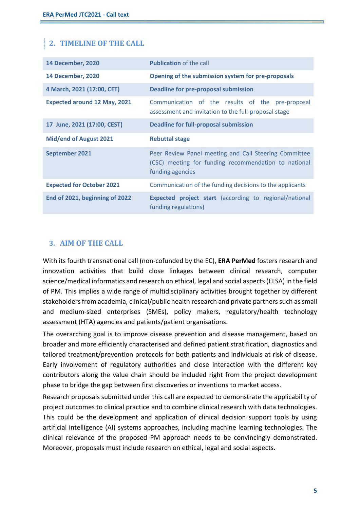## **2. TIMELINE OF THE CALL**

| <b>14 December, 2020</b>            | <b>Publication of the call</b>                                                                                                    |  |  |  |  |  |  |  |  |
|-------------------------------------|-----------------------------------------------------------------------------------------------------------------------------------|--|--|--|--|--|--|--|--|
| <b>14 December, 2020</b>            | Opening of the submission system for pre-proposals                                                                                |  |  |  |  |  |  |  |  |
| 4 March, 2021 (17:00, CET)          | <b>Deadline for pre-proposal submission</b>                                                                                       |  |  |  |  |  |  |  |  |
| <b>Expected around 12 May, 2021</b> | Communication of the results of the pre-proposal<br>assessment and invitation to the full-proposal stage                          |  |  |  |  |  |  |  |  |
| 17 June, 2021 (17:00, CEST)         | <b>Deadline for full-proposal submission</b>                                                                                      |  |  |  |  |  |  |  |  |
| <b>Mid/end of August 2021</b>       | <b>Rebuttal stage</b>                                                                                                             |  |  |  |  |  |  |  |  |
|                                     | Peer Review Panel meeting and Call Steering Committee<br>(CSC) meeting for funding recommendation to national<br>funding agencies |  |  |  |  |  |  |  |  |
| <b>September 2021</b>               |                                                                                                                                   |  |  |  |  |  |  |  |  |
| <b>Expected for October 2021</b>    | Communication of the funding decisions to the applicants                                                                          |  |  |  |  |  |  |  |  |

#### **3. AIM OF THE CALL**

With its fourth transnational call (non-cofunded by the EC), **ERA PerMed** fosters research and innovation activities that build close linkages between clinical research, computer science/medical informatics and research on ethical, legal and social aspects (ELSA) in the field of PM. This implies a wide range of multidisciplinary activities brought together by different stakeholders from academia, clinical/public health research and private partners such as small and medium-sized enterprises (SMEs), policy makers, regulatory/health technology assessment (HTA) agencies and patients/patient organisations.

The overarching goal is to improve disease prevention and disease management, based on broader and more efficiently characterised and defined patient stratification, diagnostics and tailored treatment/prevention protocols for both patients and individuals at risk of disease. Early involvement of regulatory authorities and close interaction with the different key contributors along the value chain should be included right from the project development phase to bridge the gap between first discoveries or inventions to market access.

Research proposals submitted under this call are expected to demonstrate the applicability of project outcomes to clinical practice and to combine clinical research with data technologies. This could be the development and application of clinical decision support tools by using artificial intelligence (AI) systems approaches, including machine learning technologies. The clinical relevance of the proposed PM approach needs to be convincingly demonstrated. Moreover, proposals must include research on ethical, legal and social aspects.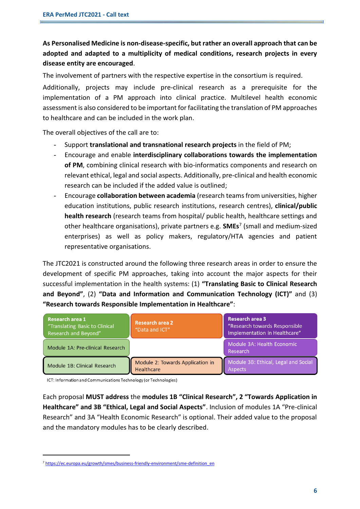### **As Personalised Medicine is non-disease-specific, but rather an overall approach that can be adopted and adapted to a multiplicity of medical conditions, research projects in every disease entity are encouraged**.

The involvement of partners with the respective expertise in the consortium is required.

Additionally, projects may include pre-clinical research as a prerequisite for the implementation of a PM approach into clinical practice. Multilevel health economic assessment is also considered to be important for facilitating the translation of PM approaches to healthcare and can be included in the work plan.

The overall objectives of the call are to:

- Support **translational and transnational research projects** in the field of PM;
- Encourage and enable **interdisciplinary collaborations towards the implementation of PM**, combining clinical research with bio-informatics components and research on relevant ethical, legal and social aspects. Additionally, pre-clinical and health economic research can be included if the added value is outlined;
- Encourage **collaboration between academia** (research teams from universities, higher education institutions, public research institutions, research centres), **clinical/public health research** (research teams from hospital/ public health, healthcare settings and other healthcare organisations), private partners e.g. **SMEs**<sup>7</sup> (small and medium-sized enterprises) as well as policy makers, regulatory/HTA agencies and patient representative organisations.

The JTC2021 is constructed around the following three research areas in order to ensure the development of specific PM approaches, taking into account the major aspects for their successful implementation in the health systems: (1) **"Translating Basic to Clinical Research and Beyond"**, (2) **"Data and Information and Communication Technology (ICT)"** and (3) **"Research towards Responsible Implementation in Healthcare"**:

| Research area 1<br>"Translating Basic to Clinical<br>Research and Beyond" | <b>Research area 2</b><br>"Data and ICT"       | <b>Research area 3</b><br>"Research towards Responsible<br>Implementation in Healthcare" |
|---------------------------------------------------------------------------|------------------------------------------------|------------------------------------------------------------------------------------------|
| Module 1A: Pre-clinical Research                                          |                                                | Module 3A: Health Economic<br>Research                                                   |
| Module 1B: Clinical Research                                              | Module 2: Towards Application in<br>Healthcare | Module 3B: Ethical, Legal and Social<br><b>Aspects</b>                                   |

ICT: Information and Communications Technology (or Technologies)

Each proposal **MUST address** the **modules 1B "Clinical Research", 2 "Towards Application in Healthcare" and 3B "Ethical, Legal and Social Aspects"**. Inclusion of modules 1A "Pre-clinical Research" and 3A "Health Economic Research" is optional. Their added value to the proposal and the mandatory modules has to be clearly described.

<sup>7</sup> [https://ec.europa.eu/growth/smes/business-friendly-environment/sme-definition\\_en](https://ec.europa.eu/growth/smes/business-friendly-environment/sme-definition_en)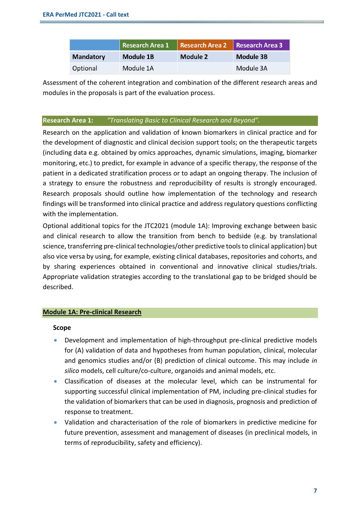|                  | Research Area 1 Research Area 2 Research Area 3 |          |           |
|------------------|-------------------------------------------------|----------|-----------|
| <b>Mandatory</b> | Module 1B                                       | Module 2 | Module 3B |
| Optional         | Module 1A                                       |          | Module 3A |

Assessment of the coherent integration and combination of the different research areas and modules in the proposals is part of the evaluation process.

#### **Research Area 1:** *"Translating Basic to Clinical Research and Beyond".*

Research on the application and validation of known biomarkers in clinical practice and for the development of diagnostic and clinical decision support tools; on the therapeutic targets (including data e.g. obtained by omics approaches, dynamic simulations, imaging, biomarker monitoring, etc.) to predict, for example in advance of a specific therapy, the response of the patient in a dedicated stratification process or to adapt an ongoing therapy. The inclusion of a strategy to ensure the robustness and reproducibility of results is strongly encouraged. Research proposals should outline how implementation of the technology and research findings will be transformed into clinical practice and address regulatory questions conflicting with the implementation.

Optional additional topics for the JTC2021 (module 1A): Improving exchange between basic and clinical research to allow the transition from bench to bedside (e.g. by translational science, transferring pre-clinical technologies/other predictive tools to clinical application) but also vice versa by using, for example, existing clinical databases, repositories and cohorts, and by sharing experiences obtained in conventional and innovative clinical studies/trials. Appropriate validation strategies according to the translational gap to be bridged should be described.

#### **Module 1A: Pre-clinical Research**

#### **Scope**

- Development and implementation of high-throughput pre-clinical predictive models for (A) validation of data and hypotheses from human population, clinical, molecular and genomics studies and/or (B) prediction of clinical outcome. This may include *in silico* models, cell culture/co-culture, organoids and animal models, etc.
- Classification of diseases at the molecular level, which can be instrumental for supporting successful clinical implementation of PM, including pre-clinical studies for the validation of biomarkers that can be used in diagnosis, prognosis and prediction of response to treatment.
- Validation and characterisation of the role of biomarkers in predictive medicine for future prevention, assessment and management of diseases (in preclinical models, in terms of reproducibility, safety and efficiency).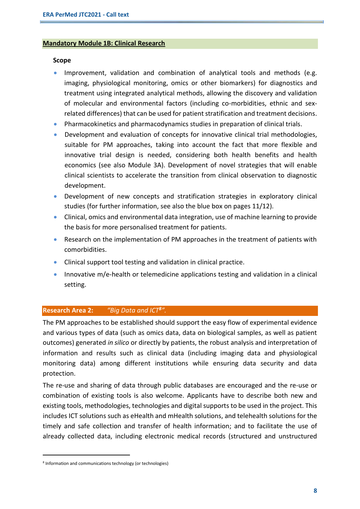#### **Mandatory Module 1B: Clinical Research**

#### **Scope**

- Improvement, validation and combination of analytical tools and methods (e.g. imaging, physiological monitoring, omics or other biomarkers) for diagnostics and treatment using integrated analytical methods, allowing the discovery and validation of molecular and environmental factors (including co-morbidities, ethnic and sexrelated differences) that can be used for patient stratification and treatment decisions.
- Pharmacokinetics and pharmacodynamics studies in preparation of clinical trials.
- Development and evaluation of concepts for innovative clinical trial methodologies, suitable for PM approaches, taking into account the fact that more flexible and innovative trial design is needed, considering both health benefits and health economics (see also Module 3A). Development of novel strategies that will enable clinical scientists to accelerate the transition from clinical observation to diagnostic development.
- Development of new concepts and stratification strategies in exploratory clinical studies (for further information, see also the blue box on pages 11/12).
- Clinical, omics and environmental data integration, use of machine learning to provide the basis for more personalised treatment for patients.
- Research on the implementation of PM approaches in the treatment of patients with comorbidities.
- Clinical support tool testing and validation in clinical practice.
- Innovative m/e-health or telemedicine applications testing and validation in a clinical setting.

#### **Research Area 2:** *"Big Data and ICT<sup>8</sup> ".*

The PM approaches to be established should support the easy flow of experimental evidence and various types of data (such as omics data, data on biological samples, as well as patient outcomes) generated *in silico* or directly by patients, the robust analysis and interpretation of information and results such as clinical data (including imaging data and physiological monitoring data) among different institutions while ensuring data security and data protection.

The re-use and sharing of data through public databases are encouraged and the re-use or combination of existing tools is also welcome. Applicants have to describe both new and existing tools, methodologies, technologies and digital supports to be used in the project. This includes ICT solutions such as eHealth and mHealth solutions, and telehealth solutions for the timely and safe collection and transfer of health information; and to facilitate the use of already collected data, including electronic medical records (structured and unstructured

<sup>8</sup> Information and communications technology (or technologies)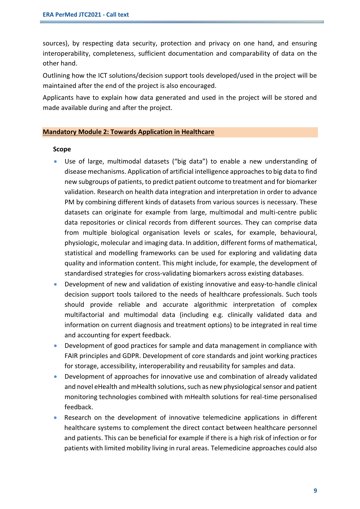sources), by respecting data security, protection and privacy on one hand, and ensuring interoperability, completeness, sufficient documentation and comparability of data on the other hand.

Outlining how the ICT solutions/decision support tools developed/used in the project will be maintained after the end of the project is also encouraged.

Applicants have to explain how data generated and used in the project will be stored and made available during and after the project.

#### **Mandatory Module 2: Towards Application in Healthcare**

#### **Scope**

- Use of large, multimodal datasets ("big data") to enable a new understanding of disease mechanisms. Application of artificial intelligence approaches to big data to find new subgroups of patients, to predict patient outcome to treatment and for biomarker validation. Research on health data integration and interpretation in order to advance PM by combining different kinds of datasets from various sources is necessary. These datasets can originate for example from large, multimodal and multi-centre public data repositories or clinical records from different sources. They can comprise data from multiple biological organisation levels or scales, for example, behavioural, physiologic, molecular and imaging data. In addition, different forms of mathematical, statistical and modelling frameworks can be used for exploring and validating data quality and information content. This might include, for example, the development of standardised strategies for cross-validating biomarkers across existing databases.
- Development of new and validation of existing innovative and easy-to-handle clinical decision support tools tailored to the needs of healthcare professionals. Such tools should provide reliable and accurate algorithmic interpretation of complex multifactorial and multimodal data (including e.g. clinically validated data and information on current diagnosis and treatment options) to be integrated in real time and accounting for expert feedback.
- Development of good practices for sample and data management in compliance with FAIR principles and GDPR. Development of core standards and joint working practices for storage, accessibility, interoperability and reusability for samples and data.
- Development of approaches for innovative use and combination of already validated and novel eHealth and mHealth solutions, such as new physiological sensor and patient monitoring technologies combined with mHealth solutions for real-time personalised feedback.
- Research on the development of innovative telemedicine applications in different healthcare systems to complement the direct contact between healthcare personnel and patients. This can be beneficial for example if there is a high risk of infection or for patients with limited mobility living in rural areas. Telemedicine approaches could also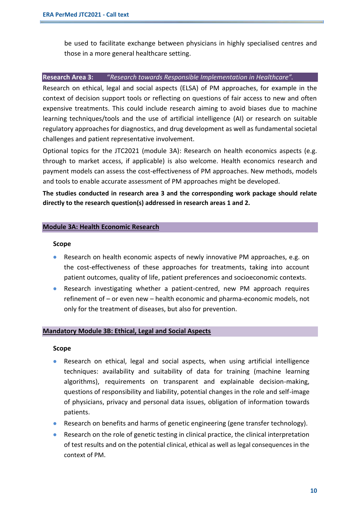be used to facilitate exchange between physicians in highly specialised centres and those in a more general healthcare setting.

#### **Research Area 3:** "*Research towards Responsible Implementation in Healthcare".*

Research on ethical, legal and social aspects (ELSA) of PM approaches, for example in the context of decision support tools or reflecting on questions of fair access to new and often expensive treatments. This could include research aiming to avoid biases due to machine learning techniques/tools and the use of artificial intelligence (AI) or research on suitable regulatory approaches for diagnostics, and drug development as well as fundamental societal challenges and patient representative involvement.

Optional topics for the JTC2021 (module 3A): Research on health economics aspects (e.g. through to market access, if applicable) is also welcome. Health economics research and payment models can assess the cost-effectiveness of PM approaches. New methods, models and tools to enable accurate assessment of PM approaches might be developed.

**The studies conducted in research area 3 and the corresponding work package should relate directly to the research question(s) addressed in research areas 1 and 2.** 

#### **Module 3A: Health Economic Research**

#### **Scope**

- Research on health economic aspects of newly innovative PM approaches, e.g. on the cost-effectiveness of these approaches for treatments, taking into account patient outcomes, quality of life, patient preferences and socioeconomic contexts.
- Research investigating whether a patient-centred, new PM approach requires refinement of – or even new – health economic and pharma-economic models, not only for the treatment of diseases, but also for prevention.

#### **Mandatory Module 3B: Ethical, Legal and Social Aspects**

#### **Scope**

- Research on ethical, legal and social aspects, when using artificial intelligence techniques: availability and suitability of data for training (machine learning algorithms), requirements on transparent and explainable decision-making, questions of responsibility and liability, potential changes in the role and self-image of physicians, privacy and personal data issues, obligation of information towards patients.
- Research on benefits and harms of genetic engineering (gene transfer technology).
- Research on the role of genetic testing in clinical practice, the clinical interpretation of test results and on the potential clinical, ethical as well as legal consequences in the context of PM.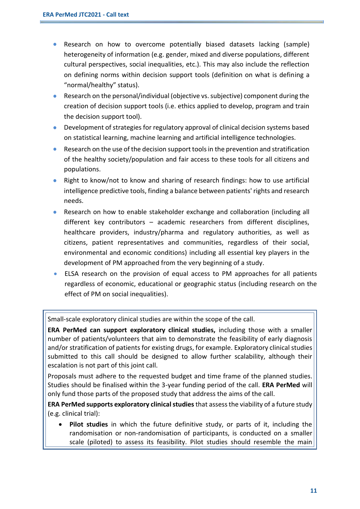- Research on how to overcome potentially biased datasets lacking (sample) heterogeneity of information (e.g. gender, mixed and diverse populations, different cultural perspectives, social inequalities, etc.). This may also include the reflection on defining norms within decision support tools (definition on what is defining a "normal/healthy" status).
- Research on the personal/individual (objective vs. subjective) component during the creation of decision support tools (i.e. ethics applied to develop, program and train the decision support tool).
- Development of strategies for regulatory approval of clinical decision systems based on statistical learning, machine learning and artificial intelligence technologies.
- Research on the use of the decision support tools in the prevention and stratification of the healthy society/population and fair access to these tools for all citizens and populations.
- Right to know/not to know and sharing of research findings: how to use artificial intelligence predictive tools, finding a balance between patients' rights and research needs.
- Research on how to enable stakeholder exchange and collaboration (including all different key contributors – academic researchers from different disciplines, healthcare providers, industry/pharma and regulatory authorities, as well as citizens, patient representatives and communities, regardless of their social, environmental and economic conditions) including all essential key players in the development of PM approached from the very beginning of a study.
- ELSA research on the provision of equal access to PM approaches for all patients regardless of economic, educational or geographic status (including research on the effect of PM on social inequalities).

Small-scale exploratory clinical studies are within the scope of the call.

**ERA PerMed can support exploratory clinical studies,** including those with a smaller number of patients/volunteers that aim to demonstrate the feasibility of early diagnosis and/or stratification of patients for existing drugs, for example. Exploratory clinical studies submitted to this call should be designed to allow further scalability, although their escalation is not part of this joint call.

Proposals must adhere to the requested budget and time frame of the planned studies. Studies should be finalised within the 3-year funding period of the call. **ERA PerMed** will only fund those parts of the proposed study that address the aims of the call.

**ERA PerMed supports exploratory clinical studies** that assess the viability of a future study (e.g. clinical trial):

• **Pilot studies** in which the future definitive study, or parts of it, including the randomisation or non-randomisation of participants, is conducted on a smaller scale (piloted) to assess its feasibility. Pilot studies should resemble the main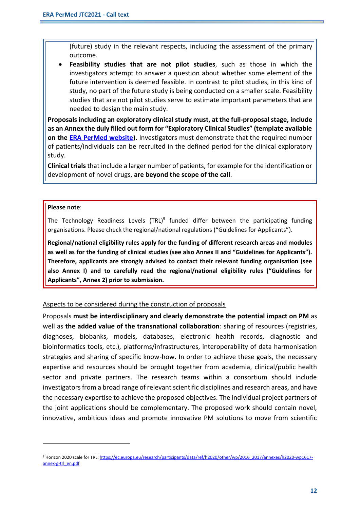(future) study in the relevant respects, including the assessment of the primary outcome.

• **Feasibility studies that are not pilot studies**, such as those in which the investigators attempt to answer a question about whether some element of the future intervention is deemed feasible. In contrast to pilot studies, in this kind of study, no part of the future study is being conducted on a smaller scale. Feasibility studies that are not pilot studies serve to estimate important parameters that are needed to design the main study.

**Proposals including an exploratory clinical study must, at the full-proposal stage, include as an Annex the duly filled out form for "Exploratory Clinical Studies" (template available on the [ERA PerMed website\)](http://www.erapermed.eu/joint-calls/).** Investigators must demonstrate that the required number of patients/individuals can be recruited in the defined period for the clinical exploratory study.

**Clinical trials** that include a larger number of patients, for example for the identification or development of novel drugs, **are beyond the scope of the call**.

#### **Please note**:

The Technology Readiness Levels (TRL)<sup>9</sup> funded differ between the participating funding organisations. Please check the regional/national regulations ("Guidelines for Applicants").

**Regional/national eligibility rules apply for the funding of different research areas and modules as well as for the funding of clinical studies (see also Annex II and "Guidelines for Applicants"). Therefore, applicants are strongly advised to contact their relevant funding organisation (see also Annex I) and to carefully read the regional/national eligibility rules ("Guidelines for Applicants", Annex 2) prior to submission.**

#### Aspects to be considered during the construction of proposals

Proposals **must be interdisciplinary and clearly demonstrate the potential impact on PM** as well as **the added value of the transnational collaboration**: sharing of resources (registries, diagnoses, biobanks, models, databases, electronic health records, diagnostic and bioinformatics tools, etc.), platforms/infrastructures, interoperability of data harmonisation strategies and sharing of specific know-how. In order to achieve these goals, the necessary expertise and resources should be brought together from academia, clinical/public health sector and private partners. The research teams within a consortium should include investigators from a broad range of relevant scientific disciplines and research areas, and have the necessary expertise to achieve the proposed objectives. The individual project partners of the joint applications should be complementary. The proposed work should contain novel, innovative, ambitious ideas and promote innovative PM solutions to move from scientific

<sup>&</sup>lt;sup>9</sup> Horizon 2020 scale for TRL: [https://ec.europa.eu/research/participants/data/ref/h2020/other/wp/2016\\_2017/annexes/h2020-wp1617](https://ec.europa.eu/research/participants/data/ref/h2020/other/wp/2016_2017/annexes/h2020-wp1617-annex-g-trl_en.pdf) [annex-g-trl\\_en.pdf](https://ec.europa.eu/research/participants/data/ref/h2020/other/wp/2016_2017/annexes/h2020-wp1617-annex-g-trl_en.pdf)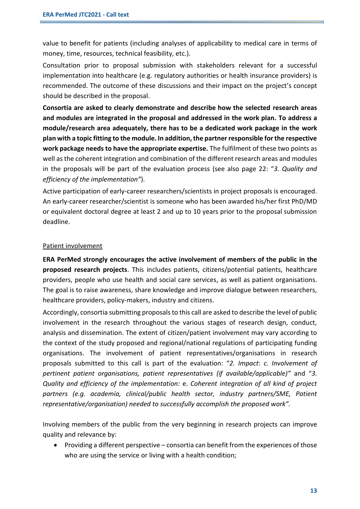value to benefit for patients (including analyses of applicability to medical care in terms of money, time, resources, technical feasibility, etc.).

Consultation prior to proposal submission with stakeholders relevant for a successful implementation into healthcare (e.g. regulatory authorities or health insurance providers) is recommended. The outcome of these discussions and their impact on the project's concept should be described in the proposal.

**Consortia are asked to clearly demonstrate and describe how the selected research areas and modules are integrated in the proposal and addressed in the work plan. To address a module/research area adequately, there has to be a dedicated work package in the work plan with a topic fitting to the module. In addition, the partner responsible for the respective work package needs to have the appropriate expertise.** The fulfilment of these two points as well asthe coherent integration and combination of the different research areas and modules in the proposals will be part of the evaluation process (see also page 22: "*3. Quality and efficiency of the implementation"*).

Active participation of early-career researchers/scientists in project proposals is encouraged. An early-career researcher/scientist is someone who has been awarded his/her first PhD/MD or equivalent doctoral degree at least 2 and up to 10 years prior to the proposal submission deadline.

#### Patient involvement

**ERA PerMed strongly encourages the active involvement of members of the public in the proposed research projects**. This includes patients, citizens/potential patients, healthcare providers, people who use health and social care services, as well as patient organisations. The goal is to raise awareness, share knowledge and improve dialogue between researchers, healthcare providers, policy-makers, industry and citizens.

Accordingly, consortia submitting proposals to this call are asked to describe the level of public involvement in the research throughout the various stages of research design, conduct, analysis and dissemination. The extent of citizen/patient involvement may vary according to the context of the study proposed and regional/national regulations of participating funding organisations. The involvement of patient representatives/organisations in research proposals submitted to this call is part of the evaluation: "*2. Impact*: *c. Involvement of pertinent patient organisations, patient representatives (if available/applicable)"* and "*3. Quality and efficiency of the implementation:* e. *Coherent integration of all kind of project partners (e.g. academia, clinical/public health sector, industry partners/SME, Patient representative/organisation) needed to successfully accomplish the proposed work".*

Involving members of the public from the very beginning in research projects can improve quality and relevance by:

• Providing a different perspective – consortia can benefit from the experiences of those who are using the service or living with a health condition;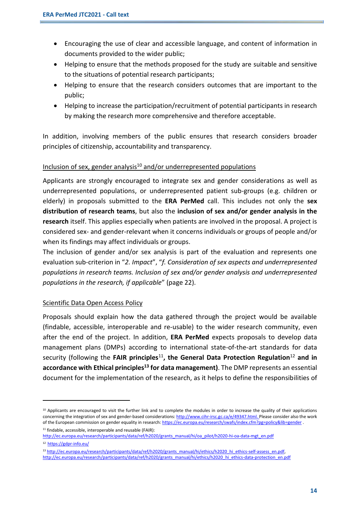- Encouraging the use of clear and accessible language, and content of information in documents provided to the wider public;
- Helping to ensure that the methods proposed for the study are suitable and sensitive to the situations of potential research participants;
- Helping to ensure that the research considers outcomes that are important to the public;
- Helping to increase the participation/recruitment of potential participants in research by making the research more comprehensive and therefore acceptable.

In addition, involving members of the public ensures that research considers broader principles of citizenship, accountability and transparency.

#### Inclusion of sex, gender analysis $10$  and/or underrepresented populations

Applicants are strongly encouraged to integrate sex and gender considerations as well as underrepresented populations, or underrepresented patient sub-groups (e.g. children or elderly) in proposals submitted to the **ERA PerMed** call. This includes not only the **sex distribution of research teams**, but also the **inclusion of sex and/or gender analysis in the research** itself. This applies especially when patients are involved in the proposal. A project is considered sex- and gender-relevant when it concerns individuals or groups of people and/or when its findings may affect individuals or groups.

The inclusion of gender and/or sex analysis is part of the evaluation and represents one evaluation sub-criterion in "*2. Impact*", "*f. Consideration of sex aspects and underrepresented populations in research teams. Inclusion of sex and/or gender analysis and underrepresented populations in the research, if applicable*" (page 22).

#### Scientific Data Open Access Policy

Proposals should explain how the data gathered through the project would be available (findable, accessible, interoperable and re-usable) to the wider research community, even after the end of the project. In addition, **ERA PerMed** expects proposals to develop data management plans (DMPs) according to international state-of-the-art standards for data security (following the **FAIR principles**<sup>11</sup> **, the General Data Protection Regulation**<sup>12</sup> **and in accordance with Ethical principles<sup>13</sup> for data management)**. The DMP represents an essential document for the implementation of the research, as it helps to define the responsibilities of

<sup>11</sup> findable, accessible, interoperable and reusable (FAIR):

 $10$  Applicants are encouraged to visit the further link and to complete the modules in order to increase the quality of their applications concerning the integration of sex and gender-based considerations[: http://www.cihr-irsc.gc.ca/e/49347.html.](http://www.cihr-irsc.gc.ca/e/49347.html) Please consider also the work of the European commission on gender equality in research[: https://ec.europa.eu/research/swafs/index.cfm?pg=policy&lib=gender](https://ec.europa.eu/research/swafs/index.cfm?pg=policy&lib=gender) .

[http://ec.europa.eu/research/participants/data/ref/h2020/grants\\_manual/hi/oa\\_pilot/h2020-hi-oa-data-mgt\\_en.pdf](http://ec.europa.eu/research/participants/data/ref/h2020/grants_manual/hi/oa_pilot/h2020-hi-oa-data-mgt_en.pdf) <sup>12</sup> <https://gdpr-info.eu/>

<sup>13</sup> http://ec.europa.eu/research/participants/data/ref/h2020/grants\_manual/hi/ethics/h2020\_hi\_ethics-self-assess\_en.pdf, [http://ec.europa.eu/research/participants/data/ref/h2020/grants\\_manual/hi/ethics/h2020\\_hi\\_ethics-data-protection\\_en.pdf](http://ec.europa.eu/research/participants/data/ref/h2020/grants_manual/hi/ethics/h2020_hi_ethics-data-protection_en.pdf)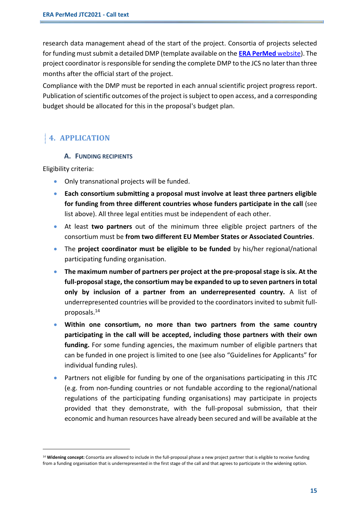research data management ahead of the start of the project. Consortia of projects selected for funding must submit a detailed DMP (template available on the **[ERA PerMed](http://www.erapermed.eu/joint-calls/)** website). The project coordinator is responsible for sending the complete DMP to the JCS no later than three months after the official start of the project.

Compliance with the DMP must be reported in each annual scientific project progress report. Publication of scientific outcomes of the project is subject to open access, and a corresponding budget should be allocated for this in the proposal's budget plan.

## **4. APPLICATION**

#### **A. FUNDING RECIPIENTS**

Eligibility criteria:

- Only transnational projects will be funded.
- **Each consortium submitting a proposal must involve at least three partners eligible for funding from three different countries whose funders participate in the call** (see list above). All three legal entities must be independent of each other.
- At least **two partners** out of the minimum three eligible project partners of the consortium must be **from two different EU Member States or Associated Countries**.
- The **project coordinator must be eligible to be funded** by his/her regional/national participating funding organisation.
- **The maximum number of partners per project at the pre-proposal stage is six. At the full-proposal stage, the consortium may be expanded to up to seven partners in total only by inclusion of a partner from an underrepresented country.** A list of underrepresented countries will be provided to the coordinators invited to submit fullproposals. 14
- **Within one consortium, no more than two partners from the same country participating in the call will be accepted, including those partners with their own funding.** For some funding agencies, the maximum number of eligible partners that can be funded in one project is limited to one (see also "Guidelines for Applicants" for individual funding rules).
- Partners not eligible for funding by one of the organisations participating in this JTC (e.g. from non-funding countries or not fundable according to the regional/national regulations of the participating funding organisations) may participate in projects provided that they demonstrate, with the full-proposal submission, that their economic and human resources have already been secured and will be available at the

<sup>&</sup>lt;sup>14</sup> Widening concept: Consortia are allowed to include in the full-proposal phase a new project partner that is eligible to receive funding from a funding organisation that is underrepresented in the first stage of the call and that agrees to participate in the widening option.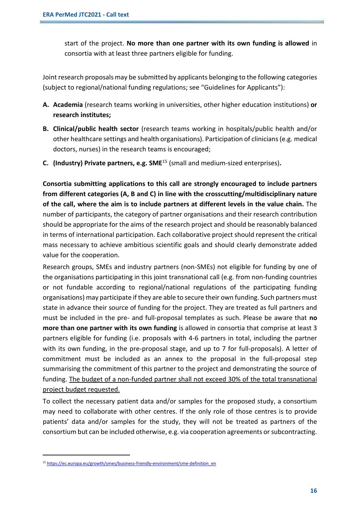start of the project. **No more than one partner with its own funding is allowed** in consortia with at least three partners eligible for funding.

Joint research proposals may be submitted by applicants belonging to the following categories (subject to regional/national funding regulations; see "Guidelines for Applicants"):

- **A. Academia** (research teams working in universities, other higher education institutions) **or research institutes;**
- **B. Clinical/public health sector** (research teams working in hospitals/public health and/or other healthcare settings and health organisations). Participation of clinicians (e.g. medical doctors, nurses) in the research teams is encouraged;
- **C. (Industry) Private partners, e.g. SME**<sup>15</sup> (small and medium-sized enterprises)**.**

**Consortia submitting applications to this call are strongly encouraged to include partners from different categories (A, B and C) in line with the crosscutting/multidisciplinary nature of the call, where the aim is to include partners at different levels in the value chain.** The number of participants, the category of partner organisations and their research contribution should be appropriate for the aims of the research project and should be reasonably balanced in terms of international participation. Each collaborative project should represent the critical mass necessary to achieve ambitious scientific goals and should clearly demonstrate added value for the cooperation.

Research groups, SMEs and industry partners (non-SMEs) not eligible for funding by one of the organisations participating in this joint transnational call (e.g. from non-funding countries or not fundable according to regional/national regulations of the participating funding organisations) may participate if they are able to secure their own funding. Such partners must state in advance their source of funding for the project. They are treated as full partners and must be included in the pre- and full-proposal templates as such. Please be aware that **no more than one partner with its own funding** is allowed in consortia that comprise at least 3 partners eligible for funding (i.e. proposals with 4-6 partners in total, including the partner with its own funding, in the pre-proposal stage, and up to 7 for full-proposals). A letter of commitment must be included as an annex to the proposal in the full-proposal step summarising the commitment of this partner to the project and demonstrating the source of funding. The budget of a non-funded partner shall not exceed 30% of the total transnational project budget requested.

To collect the necessary patient data and/or samples for the proposed study, a consortium may need to collaborate with other centres. If the only role of those centres is to provide patients' data and/or samples for the study, they will not be treated as partners of the consortium but can be included otherwise, e.g. via cooperation agreements or subcontracting.

<sup>15</sup> [https://ec.europa.eu/growth/smes/business-friendly-environment/sme-definition\\_en](https://ec.europa.eu/growth/smes/business-friendly-environment/sme-definition_en)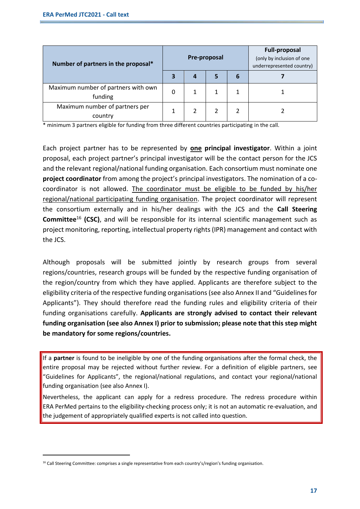| Number of partners in the proposal*            |   | <b>Pre-proposal</b> |  | <b>Full-proposal</b><br>(only by inclusion of one<br>underrepresented country) |  |
|------------------------------------------------|---|---------------------|--|--------------------------------------------------------------------------------|--|
|                                                | 3 |                     |  | 6                                                                              |  |
| Maximum number of partners with own<br>funding | 0 |                     |  |                                                                                |  |
| Maximum number of partners per<br>country      |   |                     |  |                                                                                |  |

\* minimum 3 partners eligible for funding from three different countries participating in the call.

Each project partner has to be represented by **one principal investigator**. Within a joint proposal, each project partner's principal investigator will be the contact person for the JCS and the relevant regional/national funding organisation. Each consortium must nominate one **project coordinator** from among the project's principal investigators. The nomination of a cocoordinator is not allowed. The coordinator must be eligible to be funded by his/her regional/national participating funding organisation. The project coordinator will represent the consortium externally and in his/her dealings with the JCS and the **Call Steering Committee**<sup>16</sup> **(CSC)**, and will be responsible for its internal scientific management such as project monitoring, reporting, intellectual property rights (IPR) management and contact with the JCS.

Although proposals will be submitted jointly by research groups from several regions/countries, research groups will be funded by the respective funding organisation of the region/country from which they have applied. Applicants are therefore subject to the eligibility criteria of the respective funding organisations (see also Annex II and "Guidelines for Applicants"). They should therefore read the funding rules and eligibility criteria of their funding organisations carefully. **Applicants are strongly advised to contact their relevant funding organisation (see also Annex I) prior to submission; please note that this step might be mandatory for some regions/countries.**

If a **partner** is found to be ineligible by one of the funding organisations after the formal check, the entire proposal may be rejected without further review. For a definition of eligible partners, see "Guidelines for Applicants", the regional/national regulations, and contact your regional/national funding organisation (see also Annex I).

Nevertheless, the applicant can apply for a redress procedure. The redress procedure within ERA PerMed pertains to the eligibility-checking process only; it is not an automatic re-evaluation, and the judgement of appropriately qualified experts is not called into question.

<sup>&</sup>lt;sup>16</sup> Call Steering Committee: comprises a single representative from each country's/region's funding organisation.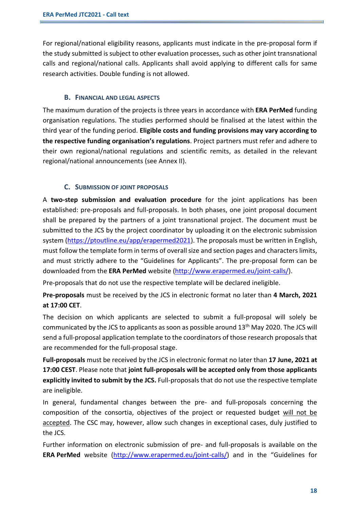For regional/national eligibility reasons, applicants must indicate in the pre-proposal form if the study submitted is subject to other evaluation processes, such as other joint transnational calls and regional/national calls. Applicants shall avoid applying to different calls for same research activities. Double funding is not allowed.

#### **B. FINANCIAL AND LEGAL ASPECTS**

The maximum duration of the projects is three years in accordance with **ERA PerMed** funding organisation regulations. The studies performed should be finalised at the latest within the third year of the funding period. **Eligible costs and funding provisions may vary according to the respective funding organisation's regulations**. Project partners must refer and adhere to their own regional/national regulations and scientific remits, as detailed in the relevant regional/national announcements (see Annex II).

#### **C. SUBMISSION OF JOINT PROPOSALS**

A **two-step submission and evaluation procedure** for the joint applications has been established: pre-proposals and full-proposals. In both phases, one joint proposal document shall be prepared by the partners of a joint transnational project. The document must be submitted to the JCS by the project coordinator by uploading it on the electronic submission system [\(https://ptoutline.eu/app/erapermed2021\)](https://ptoutline.eu/app/erapermed2021). The proposals must be written in English, must follow the template form in terms of overall size and section pages and characters limits, and must strictly adhere to the "Guidelines for Applicants". The pre-proposal form can be downloaded from the **ERA PerMed** website [\(http://www.erapermed.eu/joint-calls/\)](http://www.erapermed.eu/joint-calls/).

Pre-proposals that do not use the respective template will be declared ineligible.

**Pre-proposals** must be received by the JCS in electronic format no later than **4 March, 2021 at 17:00 CET**.

The decision on which applicants are selected to submit a full-proposal will solely be communicated by the JCS to applicants as soon as possible around 13<sup>th</sup> May 2020. The JCS will send a full-proposal application template to the coordinators of those research proposalsthat are recommended for the full-proposal stage.

**Full-proposals** must be received by the JCS in electronic format no later than **17 June, 2021 at 17:00 CEST**. Please note that **joint full-proposals will be accepted only from those applicants explicitly invited to submit by the JCS.** Full-proposals that do not use the respective template are ineligible.

In general, fundamental changes between the pre- and full-proposals concerning the composition of the consortia, objectives of the project or requested budget will not be accepted. The CSC may, however, allow such changes in exceptional cases, duly justified to the JCS.

Further information on electronic submission of pre- and full-proposals is available on the **ERA PerMed** website [\(http://www.erapermed.eu/joint-calls/\)](http://www.erapermed.eu/joint-calls/) and in the "Guidelines for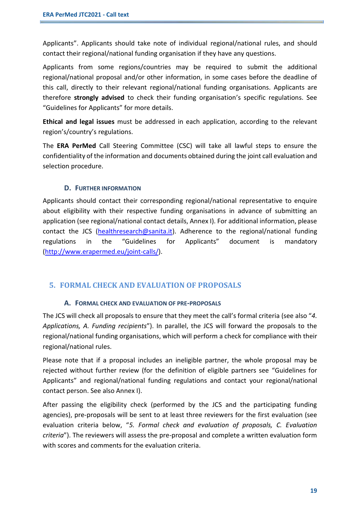Applicants". Applicants should take note of individual regional/national rules, and should contact their regional/national funding organisation if they have any questions.

Applicants from some regions/countries may be required to submit the additional regional/national proposal and/or other information, in some cases before the deadline of this call, directly to their relevant regional/national funding organisations. Applicants are therefore **strongly advised** to check their funding organisation's specific regulations. See "Guidelines for Applicants" for more details.

**Ethical and legal issues** must be addressed in each application, according to the relevant region's/country's regulations.

The **ERA PerMed** Call Steering Committee (CSC) will take all lawful steps to ensure the confidentiality of the information and documents obtained during the joint call evaluation and selection procedure.

#### **D. FURTHER INFORMATION**

Applicants should contact their corresponding regional/national representative to enquire about eligibility with their respective funding organisations in advance of submitting an application (see regional/national contact details, Annex I). For additional information, please contact the JCS [\(healthresearch@sanita.it\)](mailto:healthresearch@sanita.it). Adherence to the regional/national funding regulations in the "Guidelines for Applicants" document is mandatory [\(http://www.erapermed.eu/joint-calls/\)](http://www.erapermed.eu/joint-calls/).

#### **5. FORMAL CHECK AND EVALUATION OF PROPOSALS**

#### **A. FORMAL CHECK AND EVALUATION OF PRE-PROPOSALS**

The JCS will check all proposals to ensure that they meet the call's formal criteria (see also "*4. Applications, A. Funding recipients*"). In parallel, the JCS will forward the proposals to the regional/national funding organisations, which will perform a check for compliance with their regional/national rules.

Please note that if a proposal includes an ineligible partner, the whole proposal may be rejected without further review (for the definition of eligible partners see "Guidelines for Applicants" and regional/national funding regulations and contact your regional/national contact person. See also Annex I).

After passing the eligibility check (performed by the JCS and the participating funding agencies), pre-proposals will be sent to at least three reviewers for the first evaluation (see evaluation criteria below, "*5. Formal check and evaluation of proposals, C. Evaluation criteria*"). The reviewers will assess the pre-proposal and complete a written evaluation form with scores and comments for the evaluation criteria.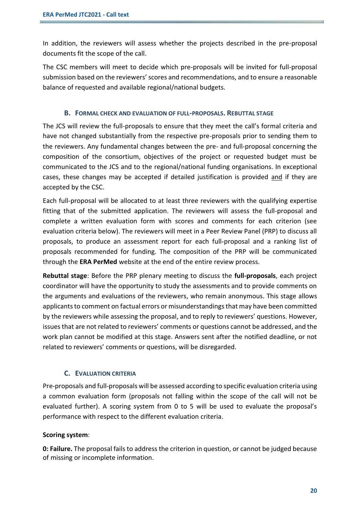In addition, the reviewers will assess whether the projects described in the pre-proposal documents fit the scope of the call.

The CSC members will meet to decide which pre-proposals will be invited for full-proposal submission based on the reviewers' scores and recommendations, and to ensure a reasonable balance of requested and available regional/national budgets.

#### **B. FORMAL CHECK AND EVALUATION OF FULL-PROPOSALS. REBUTTAL STAGE**

The JCS will review the full-proposals to ensure that they meet the call's formal criteria and have not changed substantially from the respective pre-proposals prior to sending them to the reviewers. Any fundamental changes between the pre- and full-proposal concerning the composition of the consortium, objectives of the project or requested budget must be communicated to the JCS and to the regional/national funding organisations. In exceptional cases, these changes may be accepted if detailed justification is provided and if they are accepted by the CSC.

Each full-proposal will be allocated to at least three reviewers with the qualifying expertise fitting that of the submitted application. The reviewers will assess the full-proposal and complete a written evaluation form with scores and comments for each criterion (see evaluation criteria below). The reviewers will meet in a Peer Review Panel (PRP) to discuss all proposals, to produce an assessment report for each full-proposal and a ranking list of proposals recommended for funding. The composition of the PRP will be communicated through the **ERA PerMed** website at the end of the entire review process.

**Rebuttal stage**: Before the PRP plenary meeting to discuss the **full-proposals**, each project coordinator will have the opportunity to study the assessments and to provide comments on the arguments and evaluations of the reviewers, who remain anonymous. This stage allows applicants to comment on factual errors or misunderstandings that may have been committed by the reviewers while assessing the proposal, and to reply to reviewers' questions. However, issues that are not related to reviewers' comments or questions cannot be addressed, and the work plan cannot be modified at this stage. Answers sent after the notified deadline, or not related to reviewers' comments or questions, will be disregarded.

#### **C. EVALUATION CRITERIA**

Pre-proposals and full-proposals will be assessed according to specific evaluation criteria using a common evaluation form (proposals not falling within the scope of the call will not be evaluated further). A scoring system from 0 to 5 will be used to evaluate the proposal's performance with respect to the different evaluation criteria.

#### **Scoring system**:

**0: Failure.** The proposal fails to address the criterion in question, or cannot be judged because of missing or incomplete information.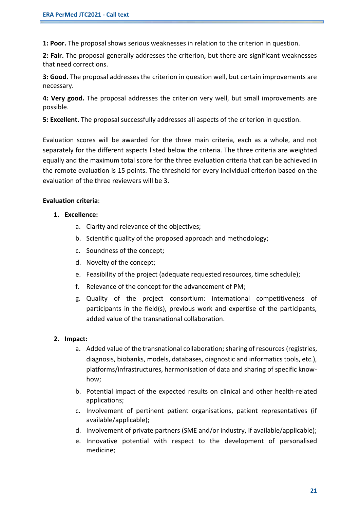**1: Poor.** The proposal shows serious weaknesses in relation to the criterion in question.

**2: Fair.** The proposal generally addresses the criterion, but there are significant weaknesses that need corrections.

**3: Good.** The proposal addresses the criterion in question well, but certain improvements are necessary.

**4: Very good.** The proposal addresses the criterion very well, but small improvements are possible.

**5: Excellent.** The proposal successfully addresses all aspects of the criterion in question.

Evaluation scores will be awarded for the three main criteria, each as a whole, and not separately for the different aspects listed below the criteria. The three criteria are weighted equally and the maximum total score for the three evaluation criteria that can be achieved in the remote evaluation is 15 points. The threshold for every individual criterion based on the evaluation of the three reviewers will be 3.

#### **Evaluation criteria**:

- **1. Excellence:** 
	- a. Clarity and relevance of the objectives;
	- b. Scientific quality of the proposed approach and methodology;
	- c. Soundness of the concept;
	- d. Novelty of the concept;
	- e. Feasibility of the project (adequate requested resources, time schedule);
	- f. Relevance of the concept for the advancement of PM;
	- g. Quality of the project consortium: international competitiveness of participants in the field(s), previous work and expertise of the participants, added value of the transnational collaboration.

#### **2. Impact:**

- a. Added value of the transnational collaboration; sharing of resources (registries, diagnosis, biobanks, models, databases, diagnostic and informatics tools, etc.), platforms/infrastructures, harmonisation of data and sharing of specific knowhow;
- b. Potential impact of the expected results on clinical and other health-related applications;
- c. Involvement of pertinent patient organisations, patient representatives (if available/applicable);
- d. Involvement of private partners (SME and/or industry, if available/applicable);
- e. Innovative potential with respect to the development of personalised medicine;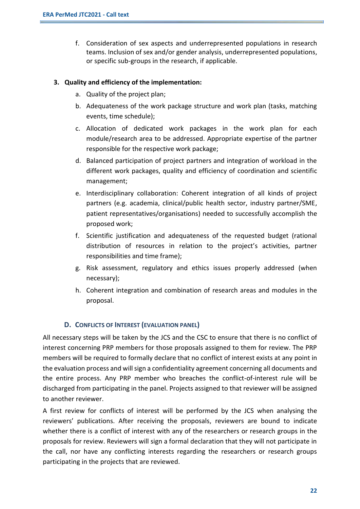f. Consideration of sex aspects and underrepresented populations in research teams. Inclusion of sex and/or gender analysis, underrepresented populations, or specific sub-groups in the research, if applicable.

#### **3. Quality and efficiency of the implementation:**

- a. Quality of the project plan;
- b. Adequateness of the work package structure and work plan (tasks, matching events, time schedule);
- c. Allocation of dedicated work packages in the work plan for each module/research area to be addressed. Appropriate expertise of the partner responsible for the respective work package;
- d. Balanced participation of project partners and integration of workload in the different work packages, quality and efficiency of coordination and scientific management;
- e. Interdisciplinary collaboration: Coherent integration of all kinds of project partners (e.g. academia, clinical/public health sector, industry partner/SME, patient representatives/organisations) needed to successfully accomplish the proposed work;
- f. Scientific justification and adequateness of the requested budget (rational distribution of resources in relation to the project's activities, partner responsibilities and time frame);
- g. Risk assessment, regulatory and ethics issues properly addressed (when necessary);
- h. Coherent integration and combination of research areas and modules in the proposal.

#### **D. CONFLICTS OF INTEREST (EVALUATION PANEL)**

All necessary steps will be taken by the JCS and the CSC to ensure that there is no conflict of interest concerning PRP members for those proposals assigned to them for review. The PRP members will be required to formally declare that no conflict of interest exists at any point in the evaluation process and will sign a confidentiality agreement concerning all documents and the entire process. Any PRP member who breaches the conflict-of-interest rule will be discharged from participating in the panel. Projects assigned to that reviewer will be assigned to another reviewer.

A first review for conflicts of interest will be performed by the JCS when analysing the reviewers' publications. After receiving the proposals, reviewers are bound to indicate whether there is a conflict of interest with any of the researchers or research groups in the proposals for review. Reviewers will sign a formal declaration that they will not participate in the call, nor have any conflicting interests regarding the researchers or research groups participating in the projects that are reviewed.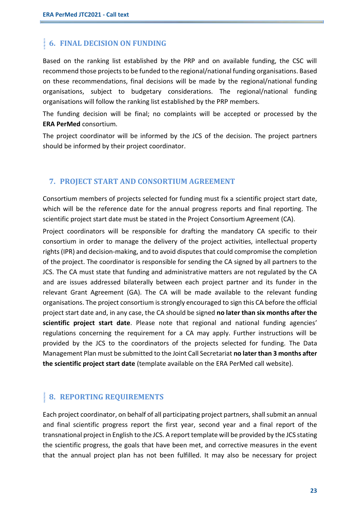## **6. FINAL DECISION ON FUNDING**

Based on the ranking list established by the PRP and on available funding, the CSC will recommend those projects to be funded to the regional/national funding organisations. Based on these recommendations, final decisions will be made by the regional/national funding organisations, subject to budgetary considerations. The regional/national funding organisations will follow the ranking list established by the PRP members.

The funding decision will be final; no complaints will be accepted or processed by the **ERA PerMed** consortium.

The project coordinator will be informed by the JCS of the decision. The project partners should be informed by their project coordinator.

#### **7. PROJECT START AND CONSORTIUM AGREEMENT**

Consortium members of projects selected for funding must fix a scientific project start date, which will be the reference date for the annual progress reports and final reporting. The scientific project start date must be stated in the Project Consortium Agreement (CA).

Project coordinators will be responsible for drafting the mandatory CA specific to their consortium in order to manage the delivery of the project activities, intellectual property rights (IPR) and decision-making, and to avoid disputes that could compromise the completion of the project. The coordinator is responsible for sending the CA signed by all partners to the JCS. The CA must state that funding and administrative matters are not regulated by the CA and are issues addressed bilaterally between each project partner and its funder in the relevant Grant Agreement (GA). The CA will be made available to the relevant funding organisations. The project consortium is strongly encouraged to sign this CA before the official project start date and, in any case, the CA should be signed **no later than six months after the scientific project start date**. Please note that regional and national funding agencies' regulations concerning the requirement for a CA may apply. Further instructions will be provided by the JCS to the coordinators of the projects selected for funding. The Data Management Plan must be submitted to the Joint Call Secretariat **no later than 3 months after the scientific project start date** (template available on the ERA PerMed call website).

## **8. REPORTING REQUIREMENTS**

Each project coordinator, on behalf of all participating project partners, shall submit an annual and final scientific progress report the first year, second year and a final report of the transnational project in English to the JCS. A report template will be provided by the JCS stating the scientific progress, the goals that have been met, and corrective measures in the event that the annual project plan has not been fulfilled. It may also be necessary for project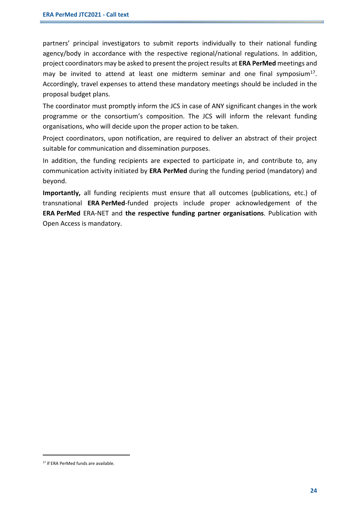partners' principal investigators to submit reports individually to their national funding agency/body in accordance with the respective regional/national regulations. In addition, project coordinators may be asked to present the project results at **ERA PerMed** meetings and may be invited to attend at least one midterm seminar and one final symposium $^{17}$ . Accordingly, travel expenses to attend these mandatory meetings should be included in the proposal budget plans.

The coordinator must promptly inform the JCS in case of ANY significant changes in the work programme or the consortium's composition. The JCS will inform the relevant funding organisations, who will decide upon the proper action to be taken.

Project coordinators, upon notification, are required to deliver an abstract of their project suitable for communication and dissemination purposes.

In addition, the funding recipients are expected to participate in, and contribute to, any communication activity initiated by **ERA PerMed** during the funding period (mandatory) and beyond.

**Importantly,** all funding recipients must ensure that all outcomes (publications, etc.) of transnational **ERA PerMed**-funded projects include proper acknowledgement of the **ERA PerMed** ERA-NET and **the respective funding partner organisations**. Publication with Open Access is mandatory.

<sup>17</sup> If ERA PerMed funds are available.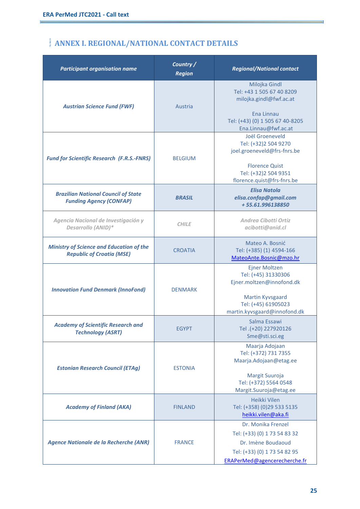r.

# **ANNEX I. REGIONAL/NATIONAL CONTACT DETAILS**

| <b>Participant organisation name</b>                                                | Country /<br><b>Region</b> | <b>Regional/National contact</b>                                                                                                                      |
|-------------------------------------------------------------------------------------|----------------------------|-------------------------------------------------------------------------------------------------------------------------------------------------------|
| <b>Austrian Science Fund (FWF)</b>                                                  | Austria                    | Milojka Gindl<br>Tel: +43 1 505 67 40 8209<br>milojka.gindl@fwf.ac.at<br>Ena Linnau<br>Tel: (+43) (0) 1 505 67 40-8205<br>Ena.Linnau@fwf.ac.at        |
| <b>Fund for Scientific Research (F.R.S.-FNRS)</b>                                   | <b>BELGIUM</b>             | Joël Groeneveld<br>Tel: (+32)2 504 9270<br>joel.groeneveld@frs-fnrs.be<br><b>Florence Quist</b><br>Tel: (+32)2 504 9351<br>florence.quist@frs-fnrs.be |
| <b>Brazilian National Council of State</b><br><b>Funding Agency (CONFAP)</b>        | <b>BRASIL</b>              | <b>Elisa Natola</b><br>elisa.confap@gmail.com<br>+55.61.996138850                                                                                     |
| Agencia Nacional de Investigación y<br>Desarrollo (ANID)*                           | <b>CHILE</b>               | <b>Andrea Cibotti Ortiz</b><br>acibotti@anid.cl                                                                                                       |
| <b>Ministry of Science and Education of the</b><br><b>Republic of Croatia (MSE)</b> | <b>CROATIA</b>             | Mateo A. Bosnić<br>Tel: (+385) (1) 4594-166<br>MateoAnte.Bosnic@mzo.hr                                                                                |
| <b>Innovation Fund Denmark (InnoFond)</b>                                           | <b>DENMARK</b>             | <b>Ejner Moltzen</b><br>Tel: (+45) 31330306<br>Ejner.moltzen@innofond.dk<br>Martin Kyvsgaard<br>Tel: (+45) 61905023<br>martin.kyvsgaard@innofond.dk   |
| <b>Academy of Scientific Research and</b><br><b>Technology (ASRT)</b>               | <b>EGYPT</b>               | Salma Essawi<br>Tel.(+20) 227920126<br>Sme@sti.sci.eg                                                                                                 |
| <b>Estonian Research Council (ETAg)</b>                                             | <b>ESTONIA</b>             | Maarja Adojaan<br>Tel: (+372) 731 7355<br>Maarja.Adojaan@etag.ee<br>Margit Suuroja<br>Tel: (+372) 5564 0548<br>Margit.Suuroja@etag.ee                 |
| <b>Academy of Finland (AKA)</b>                                                     | <b>FINLAND</b>             | Heikki Vilen<br>Tel: (+358) (0)29 533 5135<br>heikki.vilen@aka.fi                                                                                     |
| Agence Nationale de la Recherche (ANR)                                              | <b>FRANCE</b>              | Dr. Monika Frenzel<br>Tel: (+33) (0) 1 73 54 83 32<br>Dr. Imène Boudaoud<br>Tel: (+33) (0) 1 73 54 82 95<br>ERAPerMed@agencerecherche.fr              |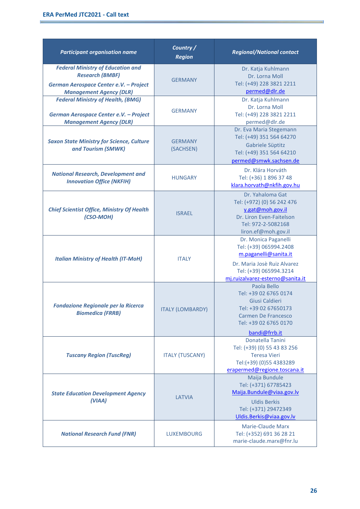r.

| <b>Participant organisation name</b>                                                                                                           | Country /<br><b>Region</b>  | <b>Regional/National contact</b>                                                                                                                                     |
|------------------------------------------------------------------------------------------------------------------------------------------------|-----------------------------|----------------------------------------------------------------------------------------------------------------------------------------------------------------------|
| <b>Federal Ministry of Education and</b><br><b>Research (BMBF)</b><br>German Aerospace Center e.V. - Project<br><b>Management Agency (DLR)</b> | <b>GERMANY</b>              | Dr. Katja Kuhlmann<br>Dr. Lorna Moll<br>Tel: (+49) 228 3821 2211<br>permed@dlr.de                                                                                    |
| <b>Federal Ministry of Health, (BMG)</b><br>German Aerospace Center e.V. - Project<br><b>Management Agency (DLR)</b>                           | <b>GERMANY</b>              | Dr. Katja Kuhlmann<br>Dr. Lorna Moll<br>Tel: (+49) 228 3821 2211<br>permed@dlr.de                                                                                    |
| <b>Saxon State Ministry for Science, Culture</b><br>and Tourism (SMWK)                                                                         | <b>GERMANY</b><br>(SACHSEN) | Dr. Eva Maria Stegemann<br>Tel: (+49) 351 564 64270<br>Gabriele Süptitz<br>Tel: (+49) 351 564 64210<br>permed@smwk.sachsen.de                                        |
| <b>National Research, Development and</b><br><b>Innovation Office (NKFIH)</b>                                                                  | <b>HUNGARY</b>              | Dr. Klára Horváth<br>Tel: (+36) 1 896 37 48<br>klara.horvath@nkfih.gov.hu                                                                                            |
| <b>Chief Scientist Office, Ministry Of Health</b><br>(CSO-MOH)                                                                                 | <b>ISRAEL</b>               | Dr. Yahaloma Gat<br>Tel: (+972) (0) 56 242 476<br>y.gat@moh.gov.il<br>Dr. Liron Even-Faitelson<br>Tel: 972-2-5082168<br>liron.ef@moh.gov.il                          |
| <b>Italian Ministry of Health (IT-MoH)</b>                                                                                                     | <b>ITALY</b>                | Dr. Monica Paganelli<br>Tel: (+39) 065994.2408<br>m.paganelli@sanita.it<br>Dr. Maria Josè Ruiz Alvarez<br>Tel: (+39) 065994.3214<br>mj.ruizalvarez-esterno@sanita.it |
| <b>Fondazione Regionale per la Ricerca</b><br><b>Biomedica (FRRB)</b>                                                                          | <b>ITALY (LOMBARDY)</b>     | Paola Bello<br>Tel: +39 02 6765 0174<br>Giusi Caldieri<br>Tel: +39 02 67650173<br>Carmen De Francesco<br>Tel: +39 02 6765 0170<br>bandi@frrb.it                      |
| <b>Tuscany Region (TuscReg)</b>                                                                                                                | <b>ITALY (TUSCANY)</b>      | Donatella Tanini<br>Tel: (+39) (0) 55 43 83 256<br><b>Teresa Vieri</b><br>Tel:(+39) (0)55 4383289<br>erapermed@regione.toscana.it                                    |
| <b>State Education Development Agency</b><br>(VIAA)                                                                                            | <b>LATVIA</b>               | Maija Bundule<br>Tel: (+371) 67785423<br>Maija.Bundule@viaa.gov.lv<br><b>Uldis Berkis</b><br>Tel: (+371) 29472349<br>Uldis.Berkis@viaa.gov.lv                        |
| <b>National Research Fund (FNR)</b>                                                                                                            | <b>LUXEMBOURG</b>           | <b>Marie-Claude Marx</b><br>Tel: (+352) 691 36 28 21<br>marie-claude.marx@fnr.lu                                                                                     |

ä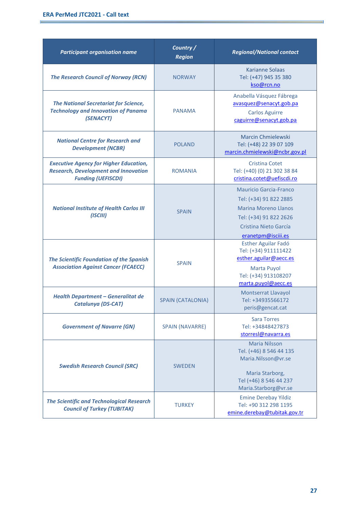E

| <b>Participant organisation name</b>                                                                                      | Country /<br><b>Region</b> | <b>Regional/National contact</b>                                                                                                                                |
|---------------------------------------------------------------------------------------------------------------------------|----------------------------|-----------------------------------------------------------------------------------------------------------------------------------------------------------------|
| <b>The Research Council of Norway (RCN)</b>                                                                               | <b>NORWAY</b>              | <b>Karianne Solaas</b><br>Tel: (+47) 945 35 380<br>kso@rcn.no                                                                                                   |
| <b>The National Secretariat for Science,</b><br><b>Technology and Innovation of Panama</b><br>(SENACYT)                   | <b>PANAMA</b>              | Anabella Vásquez Fábrega<br>avasquez@senacyt.gob.pa<br><b>Carlos Aguirre</b><br>caguirre@senacyt.gob.pa                                                         |
| <b>National Centre for Research and</b><br><b>Development (NCBR)</b>                                                      | <b>POLAND</b>              | <b>Marcin Chmielewski</b><br>Tel: (+48) 22 39 07 109<br>marcin.chmielewski@ncbr.gov.pl                                                                          |
| <b>Executive Agency for Higher Education,</b><br><b>Research, Development and Innovation</b><br><b>Funding (UEFISCDI)</b> | <b>ROMANIA</b>             | <b>Cristina Cotet</b><br>Tel: (+40) (0) 21 302 38 84<br>cristina.cotet@uefiscdi.ro                                                                              |
| <b>National Institute of Health Carlos III</b><br>(ISCIII)                                                                | <b>SPAIN</b>               | <b>Mauricio Garcia-Franco</b><br>Tel: (+34) 91 822 2885<br><b>Marina Moreno Llanos</b><br>Tel: (+34) 91 822 2626<br>Cristina Nieto García<br>eranetpm@isciii.es |
| <b>The Scientific Foundation of the Spanish</b><br><b>Association Against Cancer (FCAECC)</b>                             | <b>SPAIN</b>               | Esther Aguilar Fadó<br>Tel: (+34) 911111422<br>esther.aguilar@aecc.es<br>Marta Puyol<br>Tel: (+34) 913108207<br>marta.puyol@aecc.es                             |
| <b>Health Department - Generalitat de</b><br>Catalunya (DS-CAT)                                                           | <b>SPAIN (CATALONIA)</b>   | <b>Montserrat Llavayol</b><br>Tel: +34935566172<br>peris@gencat.cat                                                                                             |
| <b>Government of Navarre (GN)</b>                                                                                         | <b>SPAIN (NAVARRE)</b>     | <b>Sara Torres</b><br>Tel: +34848427873<br>storres @navarra.es                                                                                                  |
| <b>Swedish Research Council (SRC)</b>                                                                                     | <b>SWEDEN</b>              | <b>Maria Nilsson</b><br>Tel. (+46) 8 546 44 135<br>Maria.Nilsson@vr.se<br>Maria Starborg,<br>Tel (+46) 8 546 44 237<br>Maria.Starborg@vr.se                     |
| <b>The Scientific and Technological Research</b><br><b>Council of Turkey (TUBITAK)</b>                                    | <b>TURKEY</b>              | <b>Emine Derebay Yildiz</b><br>Tel: +90 312 298 1195<br>emine.derebay@tubitak.gov.tr                                                                            |

ä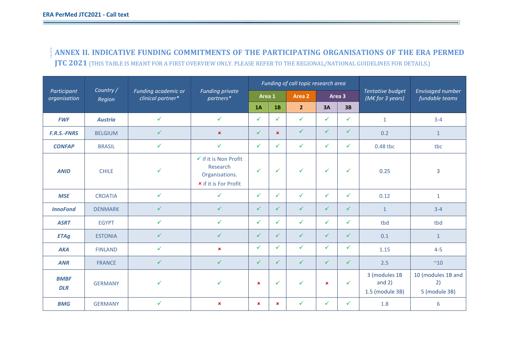**ANNEX II. INDICATIVE FUNDING COMMITMENTS OF THE PARTICIPATING ORGANISATIONS OF THE ERA PERMED JTC 2021** (THIS TABLE IS MEANT FOR A FIRST OVERVIEW ONLY. PLEASE REFER TO THE REGIONAL/NATIONAL GUIDELINES FOR DETAILS.)

|                             |                                                                 |              |                                                                                                | Funding of call topic research area |                |                |                |              |                                                       |                                           |
|-----------------------------|-----------------------------------------------------------------|--------------|------------------------------------------------------------------------------------------------|-------------------------------------|----------------|----------------|----------------|--------------|-------------------------------------------------------|-------------------------------------------|
| Participant<br>organisation | Country /<br>Funding academic or<br>clinical partner*<br>Region |              | <b>Funding private</b><br>partners*                                                            | Area 1                              |                | Area 2         |                | Area 3       | <b>Tentative budget</b><br>(M $\epsilon$ for 3 years) | Envisaged number<br>fundable teams        |
|                             |                                                                 |              |                                                                                                | 1A                                  | 1B             | $\overline{2}$ | 3A             | 3B           |                                                       |                                           |
| <b>FWF</b>                  | <b>Austria</b>                                                  | $\checkmark$ | $\checkmark$                                                                                   | ✓                                   | ✓              | $\checkmark$   | $\checkmark$   | ✓            | $\mathbf{1}$                                          | $3 - 4$                                   |
| <b>F.R.S.-FNRS</b>          | <b>BELGIUM</b>                                                  | $\checkmark$ | $\pmb{\times}$                                                                                 | $\checkmark$                        | $\pmb{\times}$ | $\checkmark$   | $\checkmark$   | $\checkmark$ | 0.2                                                   | $\mathbf{1}$                              |
| <b>CONFAP</b>               | <b>BRASIL</b>                                                   | $\checkmark$ | $\checkmark$                                                                                   | $\checkmark$                        | $\checkmark$   | $\checkmark$   | $\checkmark$   | $\checkmark$ | 0.48 tbc                                              | tbc                                       |
| <b>ANID</b>                 | <b>CHILE</b>                                                    | $\checkmark$ | $\checkmark$ if it is Non Profit<br>Research<br>Organisations.<br><b>*</b> if it is For Profit | $\checkmark$                        | $\checkmark$   | $\checkmark$   | $\checkmark$   | $\checkmark$ | 0.25                                                  | 3                                         |
| <b>MSE</b>                  | <b>CROATIA</b>                                                  | $\checkmark$ | $\checkmark$                                                                                   | $\checkmark$                        | $\checkmark$   | $\checkmark$   | $\checkmark$   | $\checkmark$ | 0.12                                                  | $\mathbf{1}$                              |
| <b>InnoFond</b>             | <b>DENMARK</b>                                                  | $\checkmark$ | $\checkmark$                                                                                   | ✓                                   | $\checkmark$   | $\checkmark$   | $\checkmark$   | ✓            | $\mathbf{1}$                                          | $3 - 4$                                   |
| <b>ASRT</b>                 | <b>EGYPT</b>                                                    | $\checkmark$ | ✓                                                                                              | ✓                                   | ✓              | ✓              | $\checkmark$   | ✓            | tbd                                                   | tbd                                       |
| <b>ETAg</b>                 | <b>ESTONIA</b>                                                  | $\checkmark$ | $\checkmark$                                                                                   | $\checkmark$                        | $\checkmark$   | $\checkmark$   | $\checkmark$   | $\checkmark$ | 0.1                                                   | $\mathbf{1}$                              |
| <b>AKA</b>                  | <b>FINLAND</b>                                                  | $\checkmark$ | $\pmb{\times}$                                                                                 | $\checkmark$                        | $\checkmark$   | $\checkmark$   | $\checkmark$   | $\checkmark$ | 1.15                                                  | $4 - 5$                                   |
| <b>ANR</b>                  | <b>FRANCE</b>                                                   | $\checkmark$ | $\checkmark$                                                                                   | $\checkmark$                        | $\checkmark$   | $\checkmark$   | $\checkmark$   | $\sqrt{2}$   | 2.5                                                   | $~^{\sim}10$                              |
| <b>BMBF</b><br><b>DLR</b>   | <b>GERMANY</b>                                                  | $\checkmark$ | ✓                                                                                              | $\pmb{\times}$                      | $\checkmark$   | $\checkmark$   | $\pmb{\times}$ | $\checkmark$ | 3 (modules 1B<br>and $2)$<br>1.5 (module 3B)          | 10 (modules 1B and<br>2)<br>5 (module 3B) |
| <b>BMG</b>                  | <b>GERMANY</b>                                                  | $\checkmark$ | $\pmb{\times}$                                                                                 | $\mathbf x$                         | $\pmb{\times}$ | $\checkmark$   | $\checkmark$   | $\checkmark$ | 1.8                                                   | 6                                         |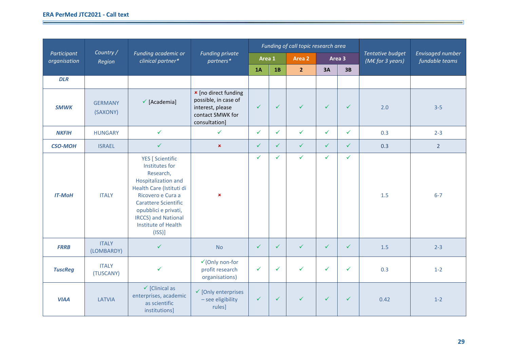<u> The Common Second Common Second Common Second Common Second Common Second Common Second Common Second Common Second</u>

**Contract Contract Contract Contract Contract** 

|                             |                            |                                                                                                                                                                                                                                                             |                                                                                                              |              |              | Funding of call topic research area |              |              |                                                       |                                           |
|-----------------------------|----------------------------|-------------------------------------------------------------------------------------------------------------------------------------------------------------------------------------------------------------------------------------------------------------|--------------------------------------------------------------------------------------------------------------|--------------|--------------|-------------------------------------|--------------|--------------|-------------------------------------------------------|-------------------------------------------|
| Participant<br>organisation | Country /<br>Region        | Funding academic or<br>clinical partner*                                                                                                                                                                                                                    | <b>Funding private</b><br>partners*                                                                          | Area 1       |              | Area 2                              |              | Area 3       | <b>Tentative budget</b><br>(M $\epsilon$ for 3 years) | <b>Envisaged number</b><br>fundable teams |
|                             |                            |                                                                                                                                                                                                                                                             |                                                                                                              | 1A           | 1B           | $\overline{2}$                      | 3A           | 3B           |                                                       |                                           |
| <b>DLR</b>                  |                            |                                                                                                                                                                                                                                                             |                                                                                                              |              |              |                                     |              |              |                                                       |                                           |
| <b>SMWK</b>                 | <b>GERMANY</b><br>(SAXONY) | $\checkmark$ [Academia]                                                                                                                                                                                                                                     | <b>*</b> [no direct funding<br>possible, in case of<br>interest, please<br>contact SMWK for<br>consultation] | $\checkmark$ | $\checkmark$ | $\checkmark$                        | $\checkmark$ | $\checkmark$ | 2.0                                                   | $3 - 5$                                   |
| <b>NKFIH</b>                | <b>HUNGARY</b>             | $\checkmark$                                                                                                                                                                                                                                                | $\checkmark$                                                                                                 | $\checkmark$ | $\checkmark$ | $\checkmark$                        | $\checkmark$ | $\checkmark$ | 0.3                                                   | $2 - 3$                                   |
| <b>CSO-MOH</b>              | <b>ISRAEL</b>              | $\checkmark$                                                                                                                                                                                                                                                | $\pmb{\times}$                                                                                               | $\checkmark$ | $\checkmark$ | $\checkmark$                        | $\checkmark$ | $\checkmark$ | 0.3                                                   | $2^{\circ}$                               |
| <b>IT-MoH</b>               | <b>ITALY</b>               | <b>YES</b> [ Scientific<br>Institutes for<br>Research,<br>Hospitalization and<br>Health Care (Istituti di<br>Ricovero e Cura a<br><b>Carattere Scientific</b><br>opubblici e privati,<br><b>IRCCS)</b> and National<br><b>Institute of Health</b><br>(ISS)] | $\pmb{\times}$                                                                                               | $\checkmark$ | ✓            | $\checkmark$                        | $\checkmark$ | ✓            | 1.5                                                   | $6 - 7$                                   |
| <b>FRRB</b>                 | <b>ITALY</b><br>(LOMBARDY) | $\checkmark$                                                                                                                                                                                                                                                | <b>No</b>                                                                                                    | $\checkmark$ | $\checkmark$ | $\checkmark$                        | $\checkmark$ | ✓            | 1.5                                                   | $2 - 3$                                   |
| <b>TuscReg</b>              | <b>ITALY</b><br>(TUSCANY)  | $\checkmark$                                                                                                                                                                                                                                                | $\checkmark$ (Only non-for<br>profit research<br>organisations)                                              | ✓            | $\checkmark$ | ✓                                   | $\checkmark$ | $\checkmark$ | 0.3                                                   | $1 - 2$                                   |
| <b>VIAA</b>                 | LATVIA                     | $\checkmark$ [Clinical as<br>enterprises, academic<br>as scientific<br>institutions]                                                                                                                                                                        | $\checkmark$ [Only enterprises<br>- see eligibility<br>rules]                                                | $\checkmark$ | $\checkmark$ | $\checkmark$                        | $\checkmark$ | $\checkmark$ | 0.42                                                  | $1 - 2$                                   |

<u> 1989 - Andrea Santa Andrea Andrea Andrea Andrea Andrea Andrea Andrea Andrea Andrea Andrea Andrea Andrea Andr</u>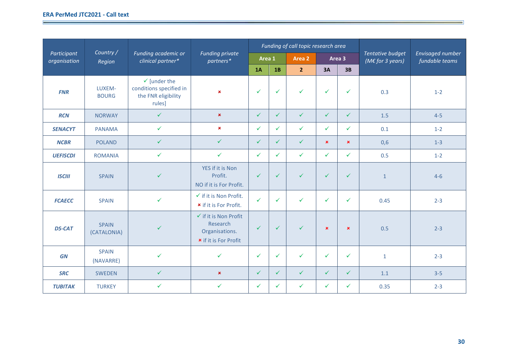the control of the control of the control of the control of the control of the control of

**Contract Contract Contract Contract Contract** 

|                             |                             |                                                                                     |                                                                                                |              |              | Funding of call topic research area |                |                |                                                |                                           |
|-----------------------------|-----------------------------|-------------------------------------------------------------------------------------|------------------------------------------------------------------------------------------------|--------------|--------------|-------------------------------------|----------------|----------------|------------------------------------------------|-------------------------------------------|
| Participant<br>organisation | Country/<br>Region          | Funding academic or<br>clinical partner*                                            | <b>Funding private</b><br>partners*                                                            | Area 1       |              | Area 2                              |                | Area 3         | Tentative budget<br>(M $\epsilon$ for 3 years) | <b>Envisaged number</b><br>fundable teams |
|                             |                             |                                                                                     |                                                                                                | 1A           | 1B           | 2 <sup>2</sup>                      | 3A             | 3B             |                                                |                                           |
| <b>FNR</b>                  | LUXEM-<br><b>BOURG</b>      | $\checkmark$ [under the<br>conditions specified in<br>the FNR eligibility<br>rules] | $\pmb{\times}$                                                                                 | $\checkmark$ | $\checkmark$ | $\checkmark$                        | $\checkmark$   | $\checkmark$   | 0.3                                            | $1 - 2$                                   |
| <b>RCN</b>                  | <b>NORWAY</b>               | $\checkmark$                                                                        | $\pmb{\times}$                                                                                 | $\checkmark$ | $\checkmark$ | $\checkmark$                        | $\checkmark$   | $\checkmark$   | 1.5                                            | $4 - 5$                                   |
| <b>SENACYT</b>              | <b>PANAMA</b>               | $\checkmark$                                                                        | $\pmb{\times}$                                                                                 | $\checkmark$ | $\checkmark$ | $\checkmark$                        | $\checkmark$   | ✓              | 0.1                                            | $1 - 2$                                   |
| <b>NCBR</b>                 | <b>POLAND</b>               | $\checkmark$                                                                        | $\checkmark$                                                                                   | $\checkmark$ | $\checkmark$ | ✓                                   | $\pmb{\times}$ | $\pmb{\times}$ | 0,6                                            | $1 - 3$                                   |
| <b>UEFISCDI</b>             | <b>ROMANIA</b>              | $\checkmark$                                                                        | $\checkmark$                                                                                   | ✓            | $\checkmark$ | $\checkmark$                        | $\checkmark$   | ✓              | 0.5                                            | $1 - 2$                                   |
| <b>ISCIII</b>               | <b>SPAIN</b>                | ✓                                                                                   | YES if it is Non<br>Profit.<br>NO if it is For Profit.                                         | $\checkmark$ | $\checkmark$ | $\checkmark$                        | $\checkmark$   | $\checkmark$   | $\mathbf{1}$                                   | $4 - 6$                                   |
| <b>FCAECC</b>               | <b>SPAIN</b>                | $\checkmark$                                                                        | $\checkmark$ if it is Non Profit.<br><b>*</b> if it is For Profit.                             | $\checkmark$ | $\checkmark$ | $\checkmark$                        | $\checkmark$   | ✓              | 0.45                                           | $2 - 3$                                   |
| <b>DS-CAT</b>               | <b>SPAIN</b><br>(CATALONIA) | $\checkmark$                                                                        | $\checkmark$ if it is Non Profit<br>Research<br>Organisations.<br><b>*</b> if it is For Profit | $\checkmark$ | $\checkmark$ | $\checkmark$                        | $\pmb{\times}$ | $\pmb{\times}$ | 0.5                                            | $2 - 3$                                   |
| <b>GN</b>                   | <b>SPAIN</b><br>(NAVARRE)   | $\checkmark$                                                                        | $\checkmark$                                                                                   | $\checkmark$ | $\checkmark$ | $\checkmark$                        | $\checkmark$   | $\checkmark$   | $\mathbf 1$                                    | $2 - 3$                                   |
| <b>SRC</b>                  | <b>SWEDEN</b>               | $\checkmark$                                                                        | $\pmb{\times}$                                                                                 | $\checkmark$ | $\checkmark$ | $\checkmark$                        | $\checkmark$   | $\checkmark$   | 1.1                                            | $3 - 5$                                   |
| <b>TUBITAK</b>              | <b>TURKEY</b>               | $\checkmark$                                                                        | $\checkmark$                                                                                   | $\checkmark$ | $\checkmark$ | $\checkmark$                        | $\checkmark$   | ✓              | 0.35                                           | $2 - 3$                                   |